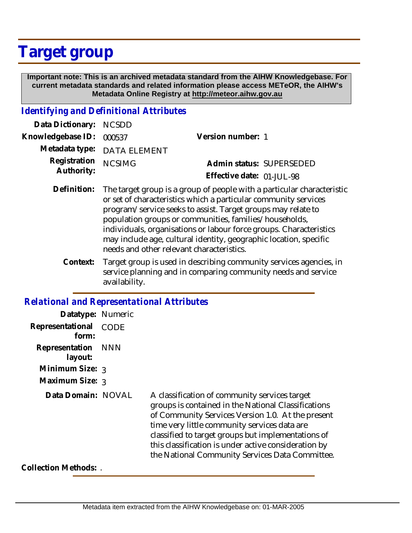## **Target group**

 **Important note: This is an archived metadata standard from the AIHW Knowledgebase. For current metadata standards and related information please access METeOR, the AIHW's Metadata Online Registry at http://meteor.aihw.gov.au**

## *Identifying and Definitional Attributes*

| Data Dictionary: NCSDD            |                             |                           |  |
|-----------------------------------|-----------------------------|---------------------------|--|
| Knowledgebase ID: 000537          |                             | Version number: 1         |  |
|                                   | Metadata type: DATA ELEMENT |                           |  |
| Registration NCSIMG<br>Authority: |                             | Admin status: SUPERSEDED  |  |
|                                   |                             | Effective date: 01-JUL-98 |  |
|                                   |                             |                           |  |

- Definition: The target group is a group of people with a particular characteristic or set of characteristics which a particular community services program/service seeks to assist. Target groups may relate to population groups or communities, families/households, individuals, organisations or labour force groups. Characteristics may include age, cultural identity, geographic location, specific needs and other relevant characteristics.
	- Target group is used in describing community services agencies, in service planning and in comparing community needs and service availability. **Context:**

## *Relational and Representational Attributes*

| Datatype: Numeric         |            |                                                                                                                                                                                                                                                                                                                                                                            |
|---------------------------|------------|----------------------------------------------------------------------------------------------------------------------------------------------------------------------------------------------------------------------------------------------------------------------------------------------------------------------------------------------------------------------------|
| Representational<br>form: | CODE       |                                                                                                                                                                                                                                                                                                                                                                            |
| Representation<br>layout: | <b>NNN</b> |                                                                                                                                                                                                                                                                                                                                                                            |
| Minimum Size: $_3$        |            |                                                                                                                                                                                                                                                                                                                                                                            |
| Maximum Size: 3           |            |                                                                                                                                                                                                                                                                                                                                                                            |
| Data Domain: NOVAL        |            | A classification of community services target<br>groups is contained in the National Classifications<br>of Community Services Version 1.0. At the present<br>time very little community services data are<br>classified to target groups but implementations of<br>this classification is under active consideration by<br>the National Community Services Data Committee. |
| Collection Methods: .     |            |                                                                                                                                                                                                                                                                                                                                                                            |